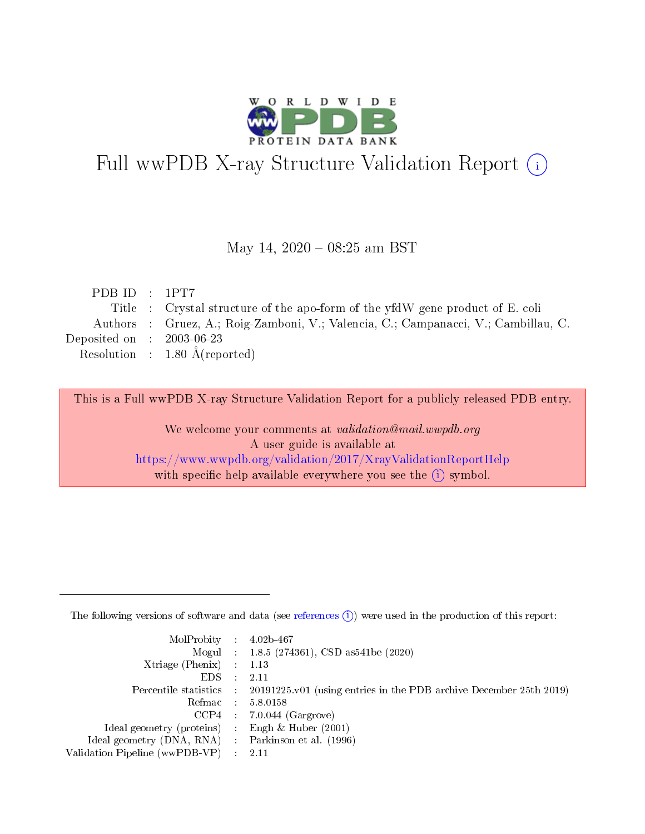

# Full wwPDB X-ray Structure Validation Report (i)

#### May 14,  $2020 - 08:25$  am BST

| PDB ID: 1PT7                |                                                                                    |
|-----------------------------|------------------------------------------------------------------------------------|
|                             | Title : Crystal structure of the apo-form of the yfdW gene product of E. coli      |
|                             | Authors : Gruez, A.; Roig-Zamboni, V.; Valencia, C.; Campanacci, V.; Cambillau, C. |
| Deposited on : $2003-06-23$ |                                                                                    |
|                             | Resolution : $1.80 \text{ Å}$ (reported)                                           |
|                             |                                                                                    |

This is a Full wwPDB X-ray Structure Validation Report for a publicly released PDB entry.

We welcome your comments at validation@mail.wwpdb.org A user guide is available at <https://www.wwpdb.org/validation/2017/XrayValidationReportHelp> with specific help available everywhere you see the  $(i)$  symbol.

The following versions of software and data (see [references](https://www.wwpdb.org/validation/2017/XrayValidationReportHelp#references)  $(1)$ ) were used in the production of this report:

| MolProbity : $4.02b-467$                            |                                                                                            |
|-----------------------------------------------------|--------------------------------------------------------------------------------------------|
|                                                     | Mogul : $1.8.5$ (274361), CSD as 541be (2020)                                              |
| $Xtriangle (Phenix)$ : 1.13                         |                                                                                            |
| $EDS$ :                                             | -2.11                                                                                      |
|                                                     | Percentile statistics : 20191225.v01 (using entries in the PDB archive December 25th 2019) |
| Refmac : 5.8.0158                                   |                                                                                            |
|                                                     | $CCP4$ 7.0.044 (Gargrove)                                                                  |
| Ideal geometry (proteins) : Engh $\&$ Huber (2001)  |                                                                                            |
| Ideal geometry (DNA, RNA) : Parkinson et al. (1996) |                                                                                            |
| Validation Pipeline (wwPDB-VP) : 2.11               |                                                                                            |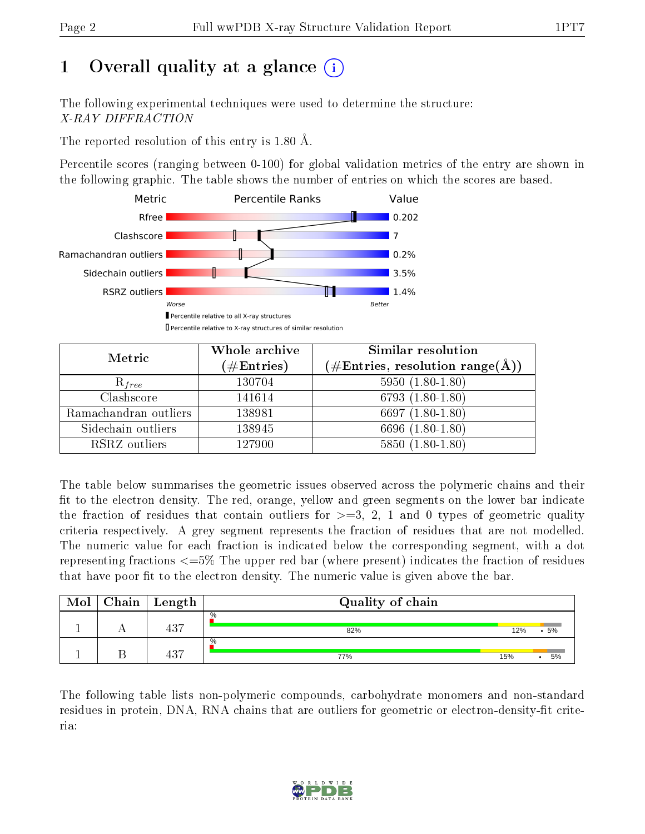# 1 [O](https://www.wwpdb.org/validation/2017/XrayValidationReportHelp#overall_quality)verall quality at a glance  $(i)$

The following experimental techniques were used to determine the structure: X-RAY DIFFRACTION

The reported resolution of this entry is 1.80 Å.

Percentile scores (ranging between 0-100) for global validation metrics of the entry are shown in the following graphic. The table shows the number of entries on which the scores are based.



| Metric                | Whole archive<br>$(\#\text{Entries})$ | Similar resolution<br>$(\#\text{Entries},\,\text{resolution}\,\,\text{range}(\textup{\AA}))$ |
|-----------------------|---------------------------------------|----------------------------------------------------------------------------------------------|
| $R_{free}$            | 130704                                | $5950(1.80-1.80)$                                                                            |
| Clashscore            | 141614                                | $6793(1.80-1.80)$                                                                            |
| Ramachandran outliers | 138981                                | 6697 $(1.80-1.80)$                                                                           |
| Sidechain outliers    | 138945                                | 6696 (1.80-1.80)                                                                             |
| RSRZ outliers         | 127900                                | $5850(1.80-1.80)$                                                                            |

The table below summarises the geometric issues observed across the polymeric chains and their fit to the electron density. The red, orange, yellow and green segments on the lower bar indicate the fraction of residues that contain outliers for  $>=3, 2, 1$  and 0 types of geometric quality criteria respectively. A grey segment represents the fraction of residues that are not modelled. The numeric value for each fraction is indicated below the corresponding segment, with a dot representing fractions <=5% The upper red bar (where present) indicates the fraction of residues that have poor fit to the electron density. The numeric value is given above the bar.

| Mol | ${\bf Chain}$ | ' Length | Quality of chain |     |    |
|-----|---------------|----------|------------------|-----|----|
|     |               | 437      | $\%$<br>82%      | 12% | 5% |
|     |               | 437      | %<br>77%         | 15% | 5% |

The following table lists non-polymeric compounds, carbohydrate monomers and non-standard residues in protein, DNA, RNA chains that are outliers for geometric or electron-density-fit criteria:

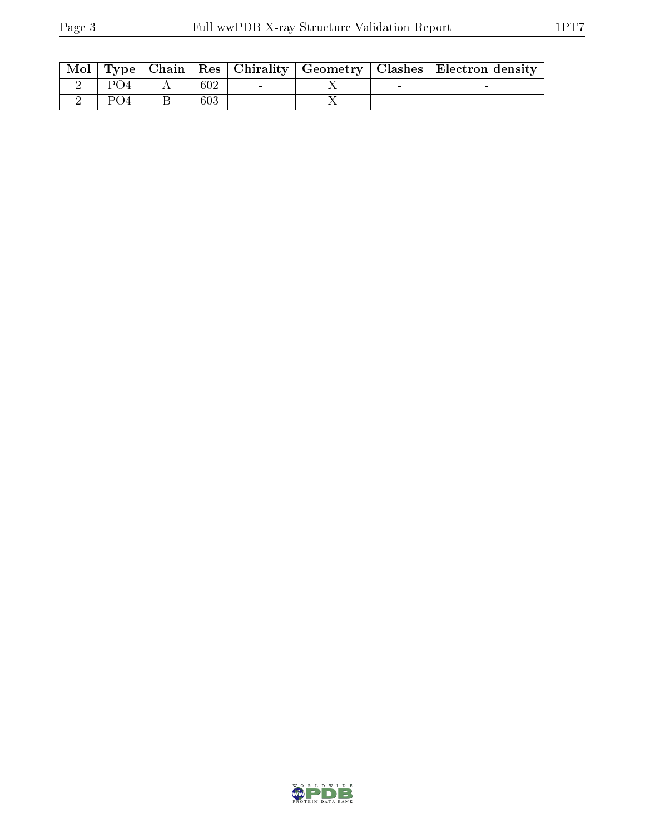| Mol |  |     |  | Type   Chain   Res   Chirality   Geometry   Clashes   Electron density |
|-----|--|-----|--|------------------------------------------------------------------------|
|     |  | 602 |  |                                                                        |
|     |  | 603 |  |                                                                        |

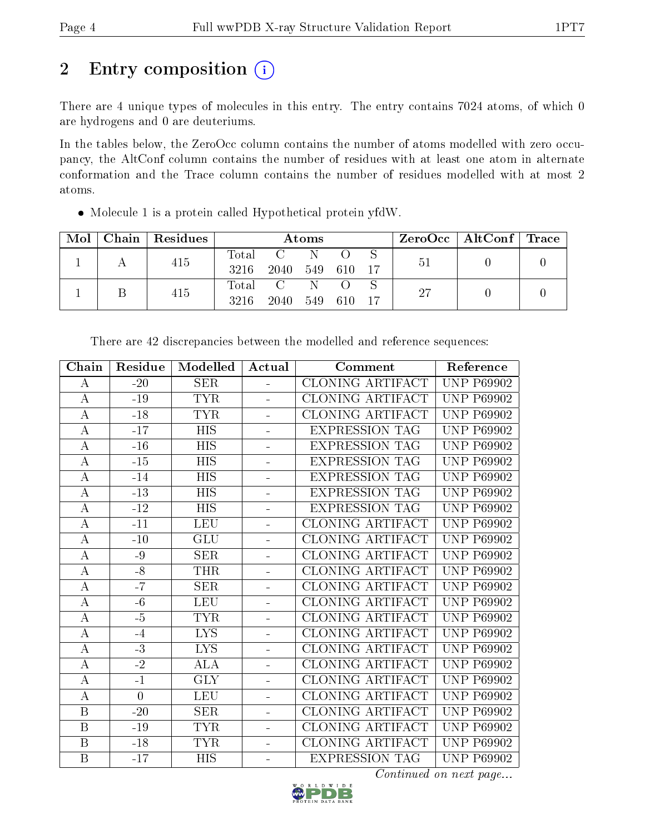# 2 Entry composition (i)

There are 4 unique types of molecules in this entry. The entry contains 7024 atoms, of which 0 are hydrogens and 0 are deuteriums.

In the tables below, the ZeroOcc column contains the number of atoms modelled with zero occupancy, the AltConf column contains the number of residues with at least one atom in alternate conformation and the Trace column contains the number of residues modelled with at most 2 atoms.

Molecule 1 is a protein called Hypothetical protein yfdW.

| Mol | Chain | Residues | Atoms               |      |     |     |  | $ZeroOcc \mid AltConf \mid Trace$ |  |  |
|-----|-------|----------|---------------------|------|-----|-----|--|-----------------------------------|--|--|
|     |       | 415      | $\rm Total$<br>3216 | 2040 | 549 | 610 |  | 51                                |  |  |
|     |       | 415      | $\rm Total$<br>3216 | 2040 | 549 | 610 |  | 27                                |  |  |

| Chain            | Residue  | Modelled         | Actual         | Comment                 | Reference         |
|------------------|----------|------------------|----------------|-------------------------|-------------------|
| A                | $-20$    | <b>SER</b>       | ÷.             | <b>CLONING ARTIFACT</b> | <b>UNP P69902</b> |
| $\bf{A}$         | $-19$    | <b>TYR</b>       | ÷,             | CLONING ARTIFACT        | <b>UNP P69902</b> |
| $\bf{A}$         | $-18$    | <b>TYR</b>       |                | <b>CLONING ARTIFACT</b> | <b>UNP P69902</b> |
| А                | $-17$    | <b>HIS</b>       |                | <b>EXPRESSION TAG</b>   | <b>UNP P69902</b> |
| $\bf{A}$         | $-16$    | <b>HIS</b>       | ÷              | <b>EXPRESSION TAG</b>   | <b>UNP P69902</b> |
| $\boldsymbol{A}$ | $-15$    | <b>HIS</b>       | ÷              | <b>EXPRESSION TAG</b>   | <b>UNP P69902</b> |
| $\bf{A}$         | $-14$    | <b>HIS</b>       | $\blacksquare$ | <b>EXPRESSION TAG</b>   | <b>UNP P69902</b> |
| $\bf{A}$         | $-13$    | $\overline{HIS}$ | -              | <b>EXPRESSION TAG</b>   | <b>UNP P69902</b> |
| $\bf{A}$         | $-12$    | <b>HIS</b>       | ÷              | <b>EXPRESSION TAG</b>   | <b>UNP P69902</b> |
| $\bf{A}$         | $-11$    | <b>LEU</b>       |                | CLONING ARTIFACT        | <b>UNP P69902</b> |
| A                | $-10$    | GLU              | $\equiv$       | <b>CLONING ARTIFACT</b> | <b>UNP P69902</b> |
| $\bf{A}$         | $-9$     | <b>SER</b>       | ÷,             | <b>CLONING ARTIFACT</b> | <b>UNP P69902</b> |
| $\boldsymbol{A}$ | $-8$     | <b>THR</b>       | $\frac{1}{2}$  | <b>CLONING ARTIFACT</b> | <b>UNP P69902</b> |
| $\bf{A}$         | $-7$     | <b>SER</b>       | ÷              | <b>CLONING ARTIFACT</b> | <b>UNP P69902</b> |
| $\bf{A}$         | $-6$     | <b>LEU</b>       | ÷,             | CLONING ARTIFACT        | <b>UNP P69902</b> |
| $\bf{A}$         | $-5$     | <b>TYR</b>       | $\frac{1}{2}$  | <b>CLONING ARTIFACT</b> | <b>UNP P69902</b> |
| $\bf{A}$         | $-4$     | <b>LYS</b>       |                | CLONING ARTIFACT        | <b>UNP P69902</b> |
| $\bf{A}$         | $-3$     | <b>LYS</b>       |                | CLONING ARTIFACT        | <b>UNP P69902</b> |
| $\bf{A}$         | $-2$     | <b>ALA</b>       | $\equiv$       | <b>CLONING ARTIFACT</b> | <b>UNP P69902</b> |
| $\overline{A}$   | $-1$     | <b>GLY</b>       | ÷,             | <b>CLONING ARTIFACT</b> | <b>UNP P69902</b> |
| $\bf{A}$         | $\theta$ | <b>LEU</b>       | $\blacksquare$ | CLONING ARTIFACT        | <b>UNP P69902</b> |
| $\, {\bf B}$     | $-20$    | <b>SER</b>       | ÷              | <b>CLONING ARTIFACT</b> | <b>UNP P69902</b> |
| B                | $-19$    | <b>TYR</b>       | ÷              | <b>CLONING ARTIFACT</b> | <b>UNP P69902</b> |
| $\, {\bf B}$     | $-18$    | <b>TYR</b>       | ÷,             | <b>CLONING ARTIFACT</b> | <b>UNP P69902</b> |
| B                | $-17$    | <b>HIS</b>       | ÷              | <b>EXPRESSION TAG</b>   | <b>UNP P69902</b> |

There are 42 discrepancies between the modelled and reference sequences:

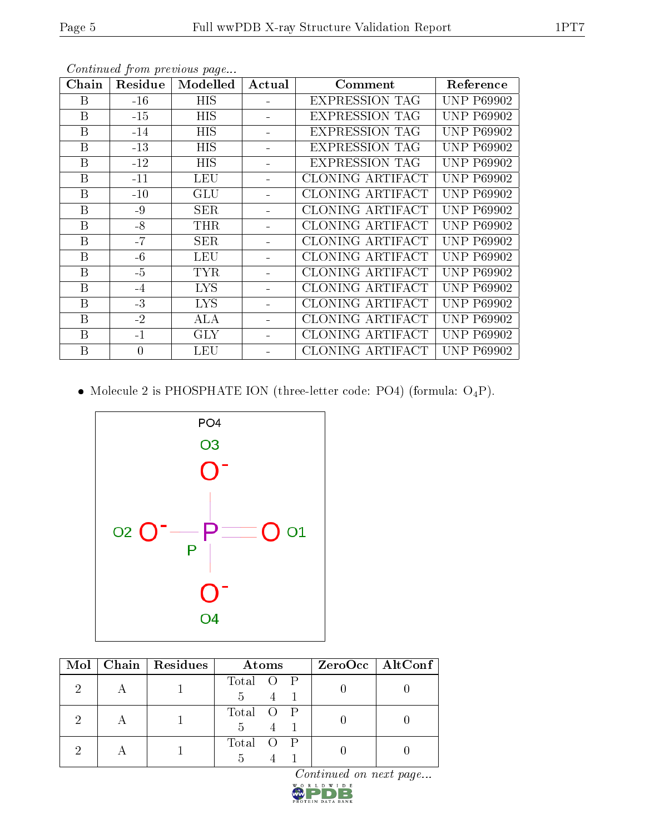| Chain | Residue        | Modelled   | Actual | Comment                 | Reference         |
|-------|----------------|------------|--------|-------------------------|-------------------|
| Β     | $-16$          | HIS        |        | <b>EXPRESSION TAG</b>   | <b>UNP P69902</b> |
| B     | $-15$          | <b>HIS</b> |        | <b>EXPRESSION TAG</b>   | <b>UNP P69902</b> |
| B     | $-14$          | HIS        |        | <b>EXPRESSION TAG</b>   | <b>UNP P69902</b> |
| B     | $-13$          | <b>HIS</b> |        | <b>EXPRESSION TAG</b>   | <b>UNP P69902</b> |
| B     | $-12$          | <b>HIS</b> |        | <b>EXPRESSION TAG</b>   | <b>UNP P69902</b> |
| B     | $-11$          | LEU        |        | CLONING ARTIFACT        | <b>UNP P69902</b> |
| B     | $-10$          | <b>GLU</b> |        | <b>CLONING ARTIFACT</b> | <b>UNP P69902</b> |
| B     | $-9$           | SER        |        | <b>CLONING ARTIFACT</b> | <b>UNP P69902</b> |
| B     | $-8$           | <b>THR</b> |        | <b>CLONING ARTIFACT</b> | <b>UNP P69902</b> |
| B     | $-7$           | <b>SER</b> |        | <b>CLONING ARTIFACT</b> | <b>UNP P69902</b> |
| B     | $-6$           | <b>LEU</b> |        | CLONING ARTIFACT        | <b>UNP P69902</b> |
| B     | $-5$           | <b>TYR</b> |        | CLONING ARTIFACT        | <b>UNP P69902</b> |
| B     | $-4$           | <b>LYS</b> |        | <b>CLONING ARTIFACT</b> | <b>UNP P69902</b> |
| B     | $-3$           | <b>LYS</b> |        | CLONING ARTIFACT        | <b>UNP P69902</b> |
| B     | $-2$           | $\rm ALA$  |        | CLONING ARTIFACT        | <b>UNP P69902</b> |
| B     | $-1$           | <b>GLY</b> |        | <b>CLONING ARTIFACT</b> | <b>UNP P69902</b> |
| B     | $\overline{0}$ | LEU        |        | CLONING ARTIFACT        | <b>UNP P69902</b> |

 $\bullet$  Molecule 2 is PHOSPHATE ION (three-letter code: PO4) (formula:  $\mathrm{O_4P}) .$ 



|  | Mol   Chain   Residues | Atoms                      | $ZeroOcc \mid AltConf \mid$ |
|--|------------------------|----------------------------|-----------------------------|
|  |                        | Total O P<br>$5 -$         |                             |
|  |                        | Total O P<br>$\frac{5}{2}$ |                             |
|  |                        | Total O P                  |                             |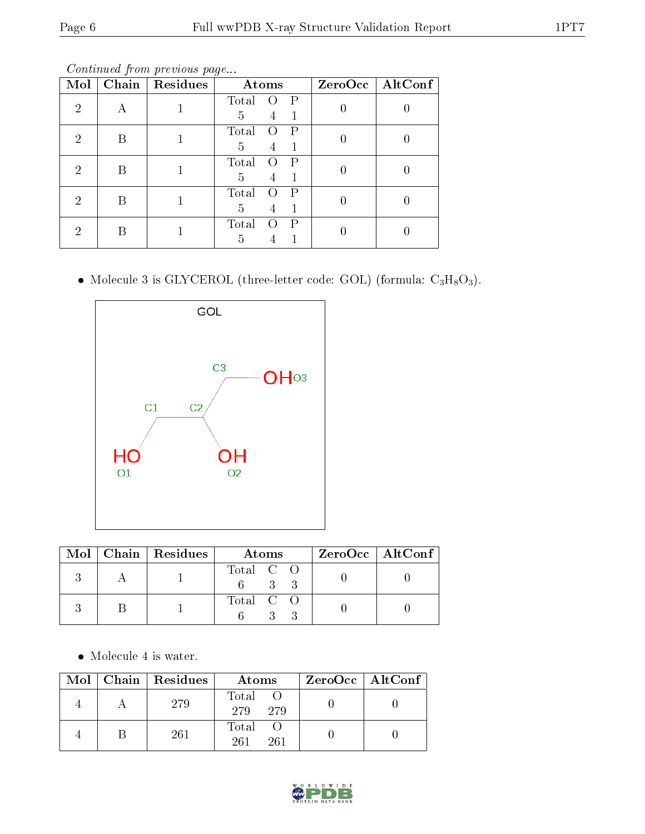Continued from previous page...

| Mol | Chain | Residues | Atoms      |  | ZeroOcc   AltConf |  |
|-----|-------|----------|------------|--|-------------------|--|
| 2   | А     |          | Total<br>P |  |                   |  |
|     |       |          | 5<br>4     |  |                   |  |
| 2   | B     |          | Total<br>P |  |                   |  |
|     |       |          | 5          |  |                   |  |
| 2   | В     |          | Total<br>Ρ |  |                   |  |
|     |       |          | 5          |  |                   |  |
| 2   | В     |          | Total<br>Ρ |  |                   |  |
|     |       |          | 5          |  |                   |  |
| ച   | B     |          | Total<br>Р |  |                   |  |
|     |       |          | 5          |  |                   |  |

 $\bullet$  Molecule 3 is GLYCEROL (three-letter code: GOL) (formula:  $\rm{C_3H_8O_3}).$ 



|  | Mol   Chain   Residues | Atoms                 | ZeroOcc   AltConf |
|--|------------------------|-----------------------|-------------------|
|  |                        | Total C O<br>$\sim$ 3 |                   |
|  |                        | Total C O             |                   |

Molecule 4 is water.

| Mol | $\mid$ Chain $\mid$ Residues | Atoms                     | $ZeroOcc$   AltConf |
|-----|------------------------------|---------------------------|---------------------|
|     | 279                          | Total<br>279<br>279       |                     |
|     | 261                          | $\rm Total$<br>261<br>261 |                     |

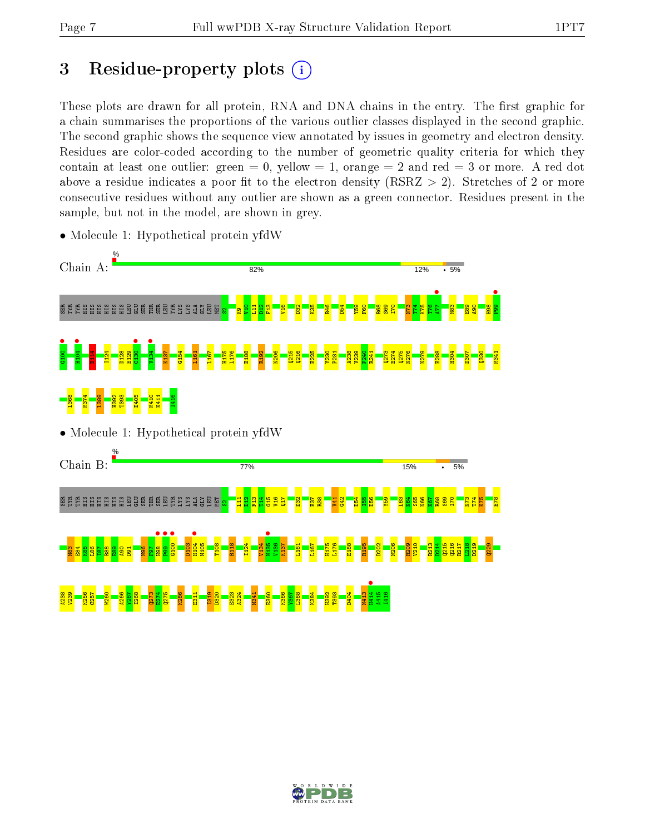# 3 Residue-property plots  $(i)$

These plots are drawn for all protein, RNA and DNA chains in the entry. The first graphic for a chain summarises the proportions of the various outlier classes displayed in the second graphic. The second graphic shows the sequence view annotated by issues in geometry and electron density. Residues are color-coded according to the number of geometric quality criteria for which they contain at least one outlier: green  $= 0$ , yellow  $= 1$ , orange  $= 2$  and red  $= 3$  or more. A red dot above a residue indicates a poor fit to the electron density (RSRZ  $> 2$ ). Stretches of 2 or more consecutive residues without any outlier are shown as a green connector. Residues present in the sample, but not in the model, are shown in grey.



• Molecule 1: Hypothetical protein yfdW

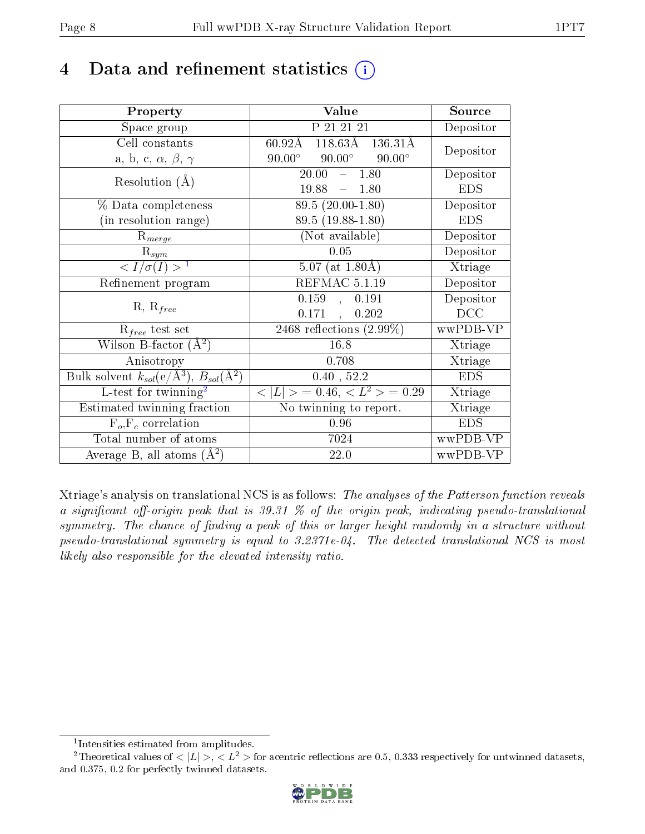# 4 Data and refinement statistics  $(i)$

| Property                                                         | Value                                                      | Source     |
|------------------------------------------------------------------|------------------------------------------------------------|------------|
| Space group                                                      | P 21 21 21                                                 | Depositor  |
| Cell constants                                                   | $118.63\text{\AA}$ $136.31\text{\AA}$<br>$60.92\text{\AA}$ | Depositor  |
| a, b, c, $\alpha$ , $\beta$ , $\gamma$                           | $90.00^\circ$<br>$90.00^\circ$<br>$90.00^\circ$            |            |
| Resolution $(A)$                                                 | 20.00<br>$-1.80$                                           | Depositor  |
|                                                                  | 19.88<br>$-1.80$                                           | <b>EDS</b> |
| % Data completeness                                              | $\overline{89.5}$ $(20.00-1.80)$                           | Depositor  |
| (in resolution range)                                            | 89.5 (19.88-1.80)                                          | <b>EDS</b> |
| $R_{merge}$                                                      | (Not available)                                            | Depositor  |
| $\mathrm{R}_{sym}$                                               | 0.05                                                       | Depositor  |
| $\langle I/\sigma(I) \rangle^{-1}$                               | $5.07$ (at $1.80\text{\AA}$ )                              | Xtriage    |
| Refinement program                                               | REFMAC 5.1.19                                              | Depositor  |
| $R, R_{free}$                                                    | 0.159,<br>0.191                                            | Depositor  |
|                                                                  | 0.171,<br>0.202                                            | DCC        |
| $R_{free}$ test set                                              | 2468 reflections $(2.99\%)$                                | wwPDB-VP   |
| Wilson B-factor $(A^2)$                                          | 16.8                                                       | Xtriage    |
| Anisotropy                                                       | 0.708                                                      | Xtriage    |
| Bulk solvent $k_{sol}(\text{e}/\text{A}^3), B_{sol}(\text{A}^2)$ | 0.40, 52.2                                                 | <b>EDS</b> |
| L-test for twinning <sup>2</sup>                                 | $< L >$ = 0.46, $< L2 >$ = 0.29                            | Xtriage    |
| Estimated twinning fraction                                      | No twinning to report.                                     | Xtriage    |
| $\overline{F_o}, \overline{F_c}$ correlation                     | 0.96                                                       | <b>EDS</b> |
| Total number of atoms                                            | 7024                                                       | wwPDB-VP   |
| Average B, all atoms $(A^2)$                                     | 22.0                                                       | wwPDB-VP   |

Xtriage's analysis on translational NCS is as follows: The analyses of the Patterson function reveals a significant off-origin peak that is 39.31  $\%$  of the origin peak, indicating pseudo-translational symmetry. The chance of finding a peak of this or larger height randomly in a structure without pseudo-translational symmetry is equal to 3.2371e-04. The detected translational NCS is most likely also responsible for the elevated intensity ratio.

<sup>&</sup>lt;sup>2</sup>Theoretical values of  $\langle |L| \rangle$ ,  $\langle L^2 \rangle$  for acentric reflections are 0.5, 0.333 respectively for untwinned datasets, and 0.375, 0.2 for perfectly twinned datasets.



<span id="page-7-1"></span><span id="page-7-0"></span><sup>1</sup> Intensities estimated from amplitudes.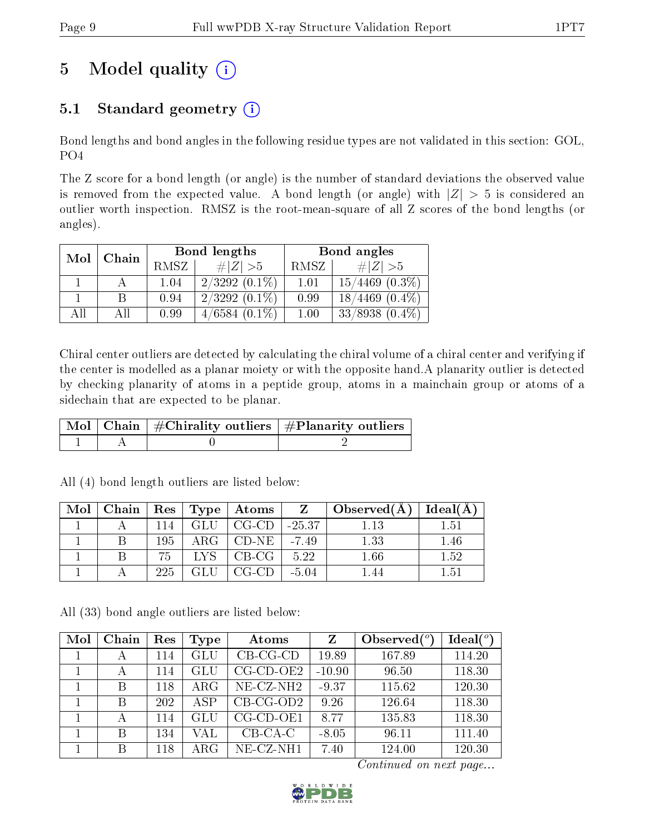# 5 Model quality  $(i)$

# 5.1 Standard geometry  $(i)$

Bond lengths and bond angles in the following residue types are not validated in this section: GOL, PO4

The Z score for a bond length (or angle) is the number of standard deviations the observed value is removed from the expected value. A bond length (or angle) with  $|Z| > 5$  is considered an outlier worth inspection. RMSZ is the root-mean-square of all Z scores of the bond lengths (or angles).

| Mol<br>Chain |       |             | Bond lengths    | Bond angles |                     |  |
|--------------|-------|-------------|-----------------|-------------|---------------------|--|
|              | RMSZ. | # $ Z  > 5$ | RMSZ            | # $ Z  > 5$ |                     |  |
|              |       | 1.04        | $2/3292(0.1\%)$ | 1.01        | $15/4469$ $(0.3\%)$ |  |
|              |       | 0.94        | $2/3292(0.1\%)$ | 0.99        | $18/4469$ $(0.4\%)$ |  |
| All          | АH    | 0.99        | $4/6584(0.1\%)$ | 1.00        | $33/8938$ $(0.4\%)$ |  |

Chiral center outliers are detected by calculating the chiral volume of a chiral center and verifying if the center is modelled as a planar moiety or with the opposite hand.A planarity outlier is detected by checking planarity of atoms in a peptide group, atoms in a mainchain group or atoms of a sidechain that are expected to be planar.

|  | $\mid$ Mol $\mid$ Chain $\mid$ #Chirality outliers $\mid$ #Planarity outliers $\mid$ |
|--|--------------------------------------------------------------------------------------|
|  |                                                                                      |

| Mol |        |            | $\mid$ Chain $\mid$ Res $\mid$ Type $\mid$ Atoms $\mid$ | <b>Z</b> 1     | $\vert$ Observed $(A)$ $\vert$ | $\vert$ Ideal( $\AA$ ) |
|-----|--------|------------|---------------------------------------------------------|----------------|--------------------------------|------------------------|
|     | $-114$ | <b>GLU</b> | $\mid$ CG-CD $\mid$                                     | $\vert$ -25.37 |                                | エトコ                    |
|     | 195    |            | $ARG   CD-NE  $                                         | $-7.49$        | 1.33                           | -46                    |
|     | 75.    | LYS.       | $^+$ CB-CG $^-$                                         | 5.22           | $1.66\,$                       | 1.52                   |
|     | 225.   |            | $CG-CD$                                                 | $-5.04$        |                                | 151                    |

All (4) bond length outliers are listed below:

All (33) bond angle outliers are listed below:

| Mol | Chain | Res | Type                 | Atoms               | Z        | Observed $(°)$ | Ideal(°) |
|-----|-------|-----|----------------------|---------------------|----------|----------------|----------|
|     | А     | 114 | $\operatorname{GLU}$ | $CB-CG-CD$          | 19.89    | 167.89         | 114.20   |
|     | А     | 114 | GLU                  | $CG-CD-OE2$         | $-10.90$ | 96.50          | 118.30   |
|     | В     | 118 | $\rm{ARG}$           | $NE- CZ-NH2$        | $-9.37$  | 115.62         | 120.30   |
|     | В     | 202 | ASP                  | $CB-CG-OD2$         | 9.26     | 126.64         | 118.30   |
|     | А     | 114 | GLU                  | $CG$ - $CD$ - $OE1$ | 8.77     | 135.83         | 118.30   |
|     | В     | 134 | VAL                  | $CB-CA-C$           | $-8.05$  | 96.11          | 111.40   |
|     | В     | 118 | $\rm{ARG}$           | $NE- CZ-NH1$        | 7.40     | 124.00         | 120.30   |

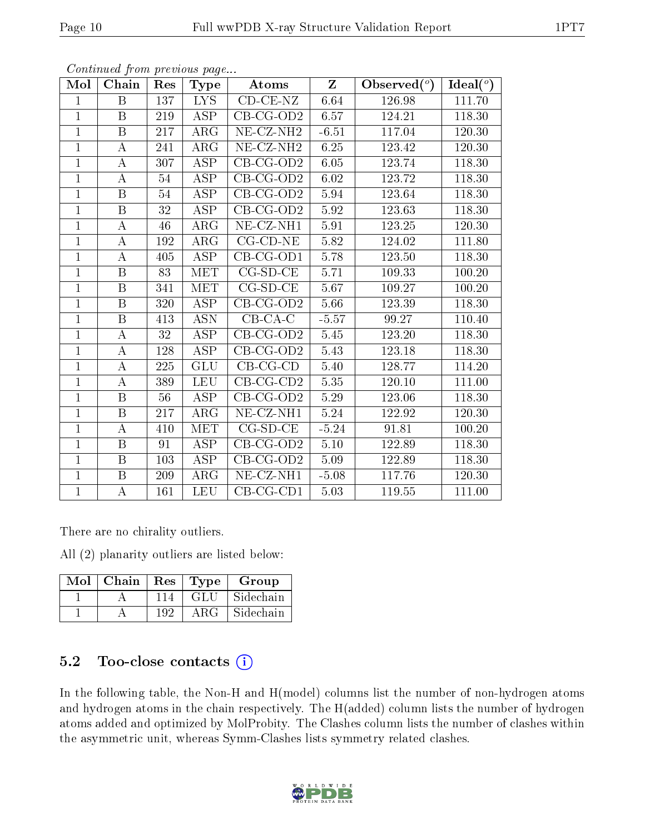| Mol            | Chain            | Res | <b>Type</b>             | Atoms                          | $\mathbf{Z}$ | Observed $(°)$ | Ideal $(°)$ |
|----------------|------------------|-----|-------------------------|--------------------------------|--------------|----------------|-------------|
| $\mathbf{1}$   | B                | 137 | LYS.                    | $\overline{\text{CD-CE-NZ}}$   | 6.64         | 126.98         | 111.70      |
| $\mathbf{1}$   | $\mathbf{B}$     | 219 | ASP                     | $CB$ -CG-OD2                   | 6.57         | 124.21         | 118.30      |
| $\overline{1}$ | $\boldsymbol{B}$ | 217 | $\rm{ARG}$              | $NE$ -CZ-NH <sub>2</sub>       | $-6.51$      | 117.04         | 120.30      |
| $\mathbf{1}$   | $\bf{A}$         | 241 | ARG                     | $\overline{\rm NE}$ -CZ-NH2    | 6.25         | 123.42         | 120.30      |
| $\overline{1}$ | $\boldsymbol{A}$ | 307 | <b>ASP</b>              | $CB-CG-OD2$                    | 6.05         | 123.74         | 118.30      |
| $\mathbf{1}$   | A                | 54  | ASP                     | $CB$ -CG-OD2                   | $6.02\,$     | 123.72         | 118.30      |
| $\mathbf{1}$   | $\boldsymbol{B}$ | 54  | <b>ASP</b>              | $CB$ -CG-OD2                   | 5.94         | 123.64         | 118.30      |
| $\mathbf{1}$   | $\, {\bf B}$     | 32  | ASP                     | $CB-CG-OD2$                    | 5.92         | 123.63         | 118.30      |
| $\mathbf{1}$   | A                | 46  | $\rm{ARG}$              | NE-CZ-NH1                      | 5.91         | 123.25         | 120.30      |
| $\overline{1}$ | А                | 192 | $\overline{\text{ARG}}$ | $CG$ - $CD$ - $NE$             | 5.82         | 124.02         | 111.80      |
| $\mathbf{1}$   | $\bf{A}$         | 405 | ASP                     | $CB-CG-OD1$                    | 5.78         | 123.50         | 118.30      |
| $\overline{1}$ | $\mathbf{B}$     | 83  | <b>MET</b>              | $CG-SD-CE$                     | 5.71         | 109.33         | 100.20      |
| $\overline{1}$ | $\overline{B}$   | 341 | <b>MET</b>              | $CG-SD-CE$                     | 5.67         | 109.27         | 100.20      |
| $\overline{1}$ | $\mathbf{B}$     | 320 | <b>ASP</b>              | $CB$ -CG-OD2                   | 5.66         | 123.39         | 118.30      |
| $\overline{1}$ | $\boldsymbol{B}$ | 413 | <b>ASN</b>              | $CB-CA-C$                      | $-5.57$      | 99.27          | 110.40      |
| $\mathbf{1}$   | $\bf{A}$         | 32  | ASP                     | $CB-CG-OD2$                    | 5.45         | 123.20         | 118.30      |
| $\mathbf{1}$   | А                | 128 | $\overline{\text{ASP}}$ | $CB$ -CG-OD2                   | 5.43         | 123.18         | 118.30      |
| $\mathbf{1}$   | $\boldsymbol{A}$ | 225 | <b>GLU</b>              | $CB-CG-CD$                     | 5.40         | 128.77         | 114.20      |
| $\mathbf{1}$   | $\bf{A}$         | 389 | <b>LEU</b>              | $\overline{\text{CB}}$ -CG-CD2 | 5.35         | 120.10         | 111.00      |
| $\overline{1}$ | $\boldsymbol{B}$ | 56  | <b>ASP</b>              | $CB-CG-OD2$                    | 5.29         | 123.06         | 118.30      |
| $\overline{1}$ | $\boldsymbol{B}$ | 217 | $\rm{ARG}$              | NE-CZ-NH1                      | 5.24         | 122.92         | 120.30      |
| $\overline{1}$ | $\bf{A}$         | 410 | <b>MET</b>              | $CG-SD-CE$                     | $-5.24$      | 91.81          | 100.20      |
| $\mathbf{1}$   | B                | 91  | <b>ASP</b>              | $CB$ -CG-OD2                   | $5.10\,$     | 122.89         | 118.30      |
| $\mathbf{1}$   | $\boldsymbol{B}$ | 103 | $\overline{\text{ASP}}$ | $CB-CG-OD2$                    | 5.09         | 122.89         | 118.30      |
| $\mathbf{1}$   | B                | 209 | $\rm{ARG}$              | NE-CZ-NH1                      | $-5.08$      | 117.76         | 120.30      |
| $\mathbf{1}$   | $\bf{A}$         | 161 | <b>LEU</b>              | $CB-CG-CD1$                    | 5.03         | $119.55\,$     | 111.00      |

There are no chirality outliers.

All (2) planarity outliers are listed below:

|  |     |      | Mol   Chain   Res   Type   Group |
|--|-----|------|----------------------------------|
|  | 114 | -GLU | Sidechain                        |
|  | 192 | ARG  | Sidechain                        |

### 5.2 Too-close contacts (i)

In the following table, the Non-H and H(model) columns list the number of non-hydrogen atoms and hydrogen atoms in the chain respectively. The H(added) column lists the number of hydrogen atoms added and optimized by MolProbity. The Clashes column lists the number of clashes within the asymmetric unit, whereas Symm-Clashes lists symmetry related clashes.

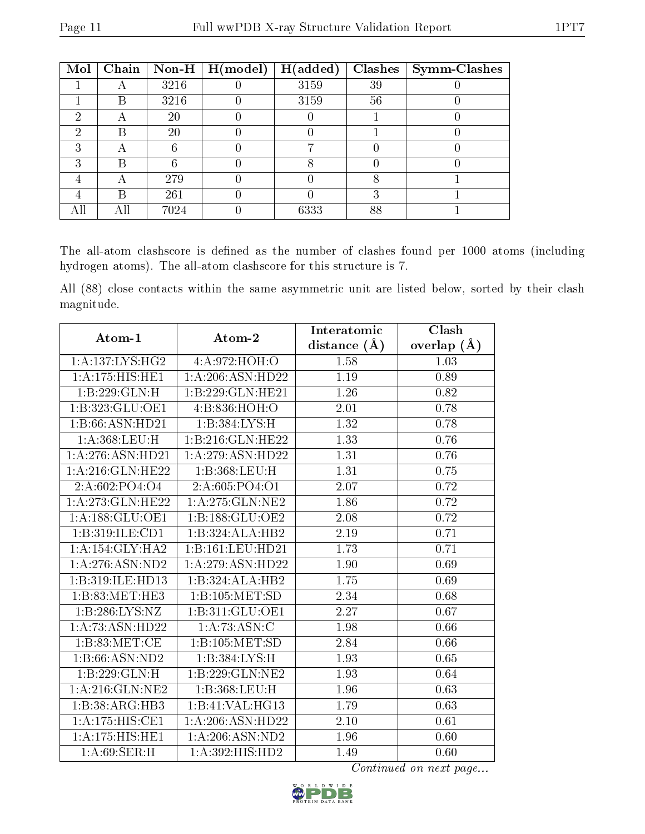| Mol |           |      | Chain   Non-H   $H (model)$ | H(added) |    | $Clashes$   Symm-Clashes |
|-----|-----------|------|-----------------------------|----------|----|--------------------------|
|     | $\forall$ | 3216 |                             | 3159     | 39 |                          |
|     | В         | 3216 |                             | 3159     | 56 |                          |
| 2   |           | 20   |                             |          |    |                          |
| റ   | В         | 20   |                             |          |    |                          |
| ച   | А         |      |                             |          |    |                          |
| ົ   | R         |      |                             |          |    |                          |
|     |           | 279  |                             |          |    |                          |
|     | R         | 261  |                             |          |    |                          |
|     | Αll       | 7024 |                             | 6333     | 88 |                          |

The all-atom clashscore is defined as the number of clashes found per 1000 atoms (including hydrogen atoms). The all-atom clashscore for this structure is 7.

All (88) close contacts within the same asymmetric unit are listed below, sorted by their clash magnitude.

| $\boldsymbol{\mathrm{Atom}\text{-}1}$ | Atom-2                       | Interatomic       | Clash         |
|---------------------------------------|------------------------------|-------------------|---------------|
|                                       |                              | distance $(A)$    | overlap $(A)$ |
| 1: A: 137: LYS: HG2                   | 4: A:972: HOH:O              | 1.58              | 1.03          |
| 1: A:175:HIS:HE1                      | 1: A:206: ASN:HD22           | 1.19              | 0.89          |
| $1:B:229:GLN:\overline{H}$            | 1:B:229:GLN:HE21             | 1.26              | 0.82          |
| 1:B:323:GLU:OE1                       | 4:B:836:HOH:O                | 2.01              | 0.78          |
| 1:B:66:ASN:HD21                       | 1: B: 384: LYS: H            | 1.32              | 0.78          |
| 1:A:368:LEU:H                         | 1:B:216:GLN:HE22             | 1.33              | 0.76          |
| 1: A:276: ASN:HD21                    | 1:A:279:ASN:HD22             | 1.31              | 0.76          |
| 1: A:216: GLN: HE22                   | 1:B:368:LEU:H                | 1.31              | 0.75          |
| 2: A: 602: PO4: O4                    | 2: A:605:PO4:O1              | $\overline{2.07}$ | 0.72          |
| 1:A:273:GLN:HE22                      | 1:A:275:GLN:NE2              | 1.86              | 0.72          |
| 1: A: 188: GLU: OE1                   | 1: B: 188: GLU: OE2          | 2.08              | 0.72          |
| 1:B:319:ILE:CD1                       | 1:B:324:ALA:HB2              | 2.19              | 0.71          |
| 1:A:154:GLY:HA2                       | 1:B:161:LEU:HD21             | 1.73              | 0.71          |
| 1:A:276:ASN:ND2                       | 1: A:279: ASN:HD22           | 1.90              | 0.69          |
| 1:B:319:ILE:HD13                      | 1:B:324:ALA:HB2              | 1.75              | 0.69          |
| 1:B:83:MET:HE3                        | 1:B:105:MET:SD               | 2.34              | 0.68          |
| 1: B:286: LYS:NZ                      | 1:B:311:GLU:OE1              | 2.27              | 0.67          |
| 1:A:73:ASN:HD22                       | 1:A:73:ASN:C                 | 1.98              | 0.66          |
| 1:B:83:MET:CE                         | 1:B:105:MET:SD               | 2.84              | 0.66          |
| 1:B:66:ASN:ND2                        | 1:B:384:LYS:H                | 1.93              | 0.65          |
| 1:B:229:GLN:H                         | 1:B:229:GLN:NE2              | $\overline{1.93}$ | 0.64          |
| 1:A:216:GLN:NE2                       | 1:B:368:LEU:H                | 1.96              | 0.63          |
| 1:B:38:ARG:HB3                        | 1:B:41:VAL:HG13              | 1.79              | 0.63          |
| $1:A:175:\overline{\text{HIS:CE1}}$   | 1:A:206:ASN:HD22             | 2.10              | 0.61          |
| 1:A:175:HIS:HE1                       | 1: A:206: ASN:ND2            | 1.96              | 0.60          |
| 1: A:69:SER:H                         | $1:A:392:\overline{HIS:HD2}$ | 1.49              | 0.60          |

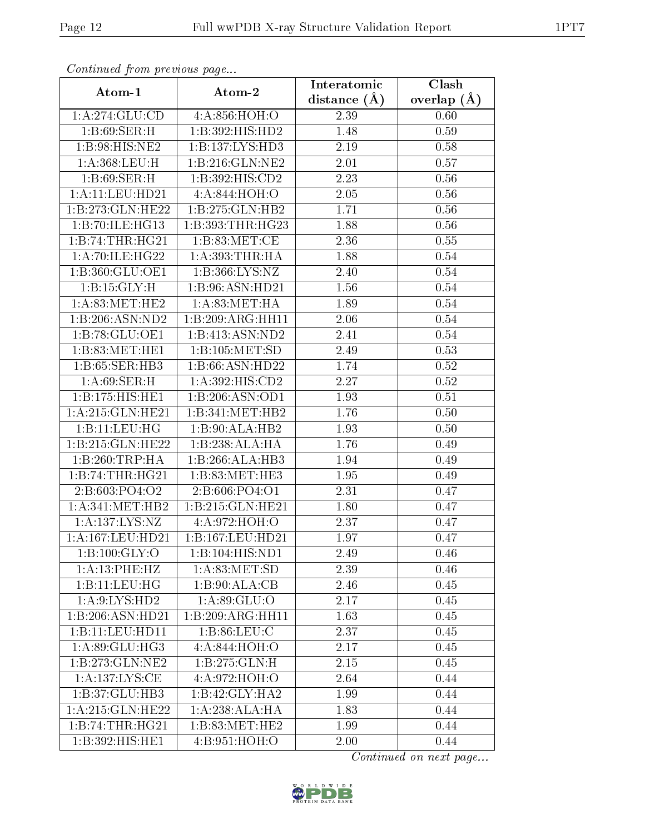| Commaca jibin previous page  |                     | Interatomic    | Clash         |
|------------------------------|---------------------|----------------|---------------|
| Atom-1                       | Atom-2              | distance $(A)$ | overlap $(A)$ |
| 1:A:274:GLU:CD               | 4:A:856:HOH:O       | 2.39           | 0.60          |
| 1:B:69:SER:H                 | 1:B:392:HIS:HD2     | 1.48           | 0.59          |
| 1:B:98:HIS:NE2               | 1:B:137:LYS:HD3     | 2.19           | 0.58          |
| 1:A:368:LEU:H                | 1: B: 216: GLN: NE2 | 2.01           | 0.57          |
| 1:B:69:SER:H                 | 1: B: 392: HIS: CD2 | 2.23           | 0.56          |
| 1: A: 11: LEU: HD21          | 4: A:844:HOH:O      | 2.05           | 0.56          |
| 1:B:273:GLN:HE22             | 1:B:275:GLN:HB2     | 1.71           | 0.56          |
| 1:B:70:ILE:HG13              | 1:B:393:THR:HG23    | 1.88           | 0.56          |
| 1:B:74:THR:HG21              | 1: B:83:MET:CE      | 2.36           | 0.55          |
| 1: A:70: ILE: HG22           | 1: A: 393: THR: HA  | 1.88           | 0.54          |
| 1:B:360:GLU:OE1              | 1:B:366:LYS:NZ      | 2.40           | 0.54          |
| 1: B:15: GLY:H               | 1:B:96:ASN:HD21     | 1.56           | 0.54          |
| 1: A:83:MET:HE2              | 1: A:83:MET:HA      | 1.89           | 0.54          |
| 1:B:206:ASN:ND2              | 1:B:209:ARG:HH11    | 2.06           | 0.54          |
| 1:B:78:GLU:OE1               | 1:B:413:ASN:ND2     | 2.41           | 0.54          |
| 1:B:83:MET:HE1               | 1:B:105:MET:SD      | 2.49           | 0.53          |
| 1:B:65:SER:HB3               | 1:B:66:ASN:HD22     | 1.74           | $0.52\,$      |
| 1: A:69:SER:H                | 1:A:392:HIS:CD2     | 2.27           | 0.52          |
| 1:B:175:HIS:HEL              | 1:B:206:ASN:OD1     | 1.93           | 0.51          |
| 1: A:215: GLN: HE21          | 1:B:341:MET:HB2     | 1.76           | 0.50          |
| 1:B:11:EU:HG                 | 1:B:90:ALA:HB2      | 1.93           | 0.50          |
| 1:B:215:GLN:HE22             | 1:B:238:ALA:HA      | 1.76           | 0.49          |
| 1:B:260:TRP:HA               | 1:B:266:ALA:HB3     | 1.94           | 0.49          |
| 1:B:74:THR:HG21              | 1: B:83:MET:HE3     | 1.95           | 0.49          |
| 2:B:603:PO4:O2               | 2:B:606:PO4:O1      | 2.31           | 0.47          |
| 1: A:341: MET:HB2            | 1:B:215:GLN:HE21    | 1.80           | 0.47          |
| 1: A: 137: LYS: NZ           | 4:A:972:HOH:O       | 2.37           | 0.47          |
| 1: A: 167: LEU: HD21         | 1:B:167:LEU:HD21    | 1.97           | 0.47          |
| 1:B:100:GLY:O                | 1:B:104:HIS:ND1     | 2.49           | 0.46          |
| 1:A:13:PHE:HZ                | 1: A:83:MET:SD      | 2.39           | 0.46          |
| 1:B:11:EU:HG                 | 1:B:90:ALA:CB       | 2.46           | 0.45          |
| 1: A:9: LYS: HD2             | 1: A:89: GLU:O      | 2.17           | $0.45\,$      |
| 1:B:206:ASN:HD21             | 1:B:209:ARG:HH11    | 1.63           | 0.45          |
| 1:B:11:LEU:HD11              | 1: B:86: LEU: C     | 2.37           | 0.45          |
| 1: A:89: GLU:HG3             | 4: A:844:HOH:O      | 2.17           | 0.45          |
| 1:B:273:GLN:NE2              | 1:B:275:GLN:H       | 2.15           | 0.45          |
| 1: A: 137: LYS: CE           | 4: A:972: HOH:O     | 2.64           | 0.44          |
| 1:B:37:GLU:HB3               | 1:B:42:GLY:HA2      | 1.99           | 0.44          |
| 1: A:215: GLN: HE22          | 1:A:238:ALA:HA      | 1.83           | 0.44          |
| 1:B:74:THR:HG21              | 1:B:83:MET:HE2      | 1.99           | 0.44          |
| $1:B:392:HIS:\overline{HE1}$ | 4:B:951:HOH:O       | 2.00           | 0.44          |

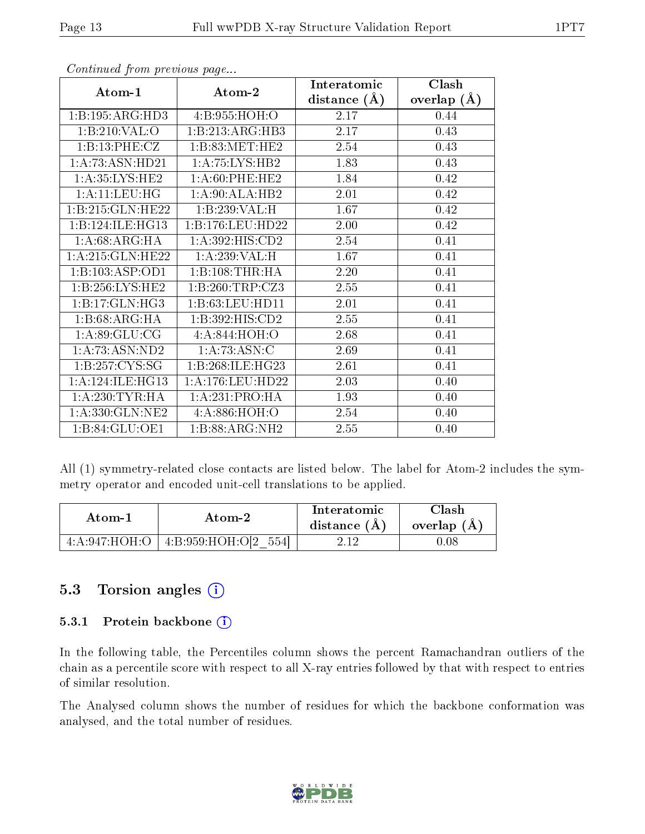|                     |                              | Interatomic      | Clash         |
|---------------------|------------------------------|------------------|---------------|
| Atom-1              | Atom-2                       | distance $(\AA)$ | overlap $(A)$ |
| 1:B:195:ARG:HD3     | 4:B:955:HOH:O                | 2.17             | 0.44          |
| 1:B:210:VAL:O       | 1:B:213:ARG:HB3              | 2.17             | 0.43          |
| 1:B:13:PHE:CZ       | 1:B:83:MET:HE2               | 2.54             | 0.43          |
| 1:A:73:ASN:HD21     | 1:A:75:LYS:HB2               | 1.83             | 0.43          |
| 1: A:35: LYS: HE2   | 1: A:60:PHE:HE2              | 1.84             | 0.42          |
| 1: A: 11: LEU: HG   | 1:A:90:ALA:HB2               | 2.01             | 0.42          |
| 1:B:215:GLN:HE22    | 1:B:239:VAL:H                | 1.67             | 0.42          |
| 1:B:124:ILE:HG13    | 1:B:176:LEU:HD22             | 2.00             | 0.42          |
| 1:A:68:ARG:HA       | 1:A:392:HIS:CD2              | 2.54             | 0.41          |
| 1: A:215: GLN: HE22 | 1:A:239:VAL:H                | 1.67             | 0.41          |
| 1:B:103:ASP:OD1     | 1:B:108:THR:HA               | 2.20             | 0.41          |
| 1:B:256:LYS:HE2     | 1:B:260:TRP:CZ3              | 2.55             | 0.41          |
| 1:B:17:GLN:HG3      | 1:B:63:LEU:HD11              | 2.01             | 0.41          |
| 1:B:68:ARG:HA       | 1: B:392: HIS: CD2           | 2.55             | 0.41          |
| 1: A:89: GLU:CG     | 4:A:844:HOH:O                | 2.68             | 0.41          |
| 1: A:73: ASN:ND2    | 1: A:73: ASN: C              | 2.69             | 0.41          |
| 1:B:257:CYS:SG      | 1:B:268:ILE:HG23             | 2.61             | 0.41          |
| 1: A:124: ILE: HG13 | 1: A:176:LEU:HD22            | 2.03             | 0.40          |
| 1: A:230:TYR:HA     | 1:A:231:PRO:HA               | 1.93             | 0.40          |
| 1:A:330:GLN:NE2     | 4: A:886:HOH:O               | 2.54             | 0.40          |
| 1:B:84:GLU:OE1      | $1: B:88:ARG:N\overline{H2}$ | 2.55             | 0.40          |

All (1) symmetry-related close contacts are listed below. The label for Atom-2 includes the symmetry operator and encoded unit-cell translations to be applied.

| Atom-1           | Atom-2               | Interatomic<br>distance $(A)$ | Clash<br>overlap $(A)$ |
|------------------|----------------------|-------------------------------|------------------------|
| 4: A:947: HOH: O | 4:1:959:HOH:O[2 554] | າ 19                          | 0.08                   |

### 5.3 Torsion angles (i)

#### 5.3.1 Protein backbone (i)

In the following table, the Percentiles column shows the percent Ramachandran outliers of the chain as a percentile score with respect to all X-ray entries followed by that with respect to entries of similar resolution.

The Analysed column shows the number of residues for which the backbone conformation was analysed, and the total number of residues.

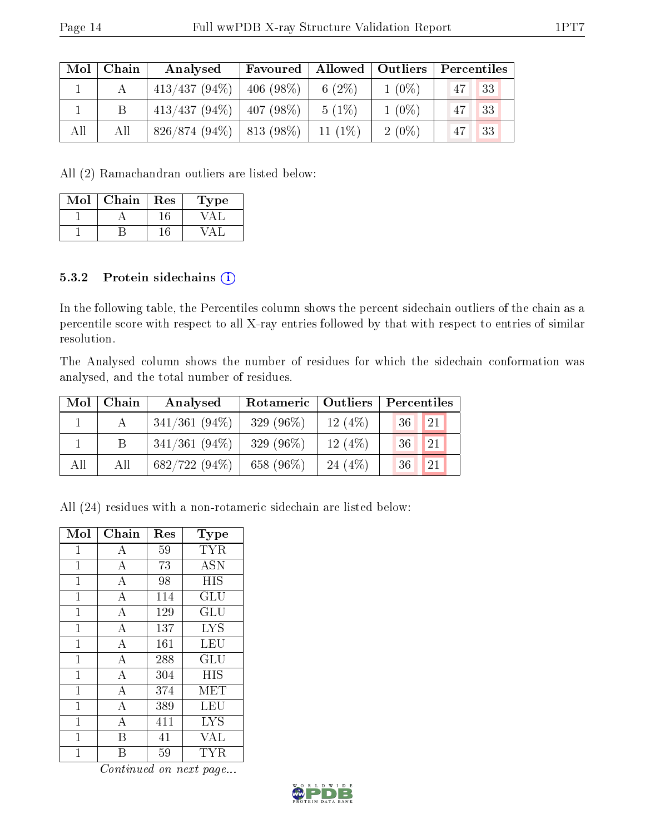| Mol | Chain | Analysed                      | Favoured    | $\mid$ Allowed $\mid$ Outliers $\mid$ |          | $\mid$ Percentiles |
|-----|-------|-------------------------------|-------------|---------------------------------------|----------|--------------------|
|     |       | $413/437(94\%)$               | $406(98\%)$ | 6 $(2\%)$                             | $1(0\%)$ | 33<br>47           |
|     |       | $413/437 (94\%)$   407 (98\%) |             | $5(1\%)$                              | $1(0\%)$ | 33<br>47           |
| All | All   | $826/874(94\%)$   813 (98\%)  |             | $11(1\%)$                             | $2(0\%)$ | 33<br>47           |

All (2) Ramachandran outliers are listed below:

| Mol | Chain | Res | Type |
|-----|-------|-----|------|
|     |       |     |      |
|     |       |     |      |

#### 5.3.2 Protein sidechains (i)

In the following table, the Percentiles column shows the percent sidechain outliers of the chain as a percentile score with respect to all X-ray entries followed by that with respect to entries of similar resolution.

The Analysed column shows the number of residues for which the sidechain conformation was analysed, and the total number of residues.

| Mol | Chain | Analysed        | Rotameric   Outliers |           | Percentiles        |
|-----|-------|-----------------|----------------------|-----------|--------------------|
|     |       | $341/361(94\%)$ | 329 $(96\%)$         | 12(4%)    | $^{\circ}36$<br>21 |
|     |       | $341/361(94\%)$ | 329 $(96\%)$         | 12(4%)    | 21<br>36           |
| All | All   | $682/722(94\%)$ | 658 (96%)            | 24 $(4%)$ | 21<br>36           |

All (24) residues with a non-rotameric sidechain are listed below:

| Mol            | Chain              | Res | <b>Type</b>          |
|----------------|--------------------|-----|----------------------|
| $\mathbf{1}$   | A                  | 59  | <b>TYR</b>           |
| $\mathbf{1}$   | $\overline{A}$     | 73  | <b>ASN</b>           |
| $\mathbf{1}$   | $\bf{A}$           | 98  | <b>HIS</b>           |
| $\overline{1}$ | $\overline{A}$     | 114 | GLU                  |
| $\overline{1}$ | $\overline{\rm A}$ | 129 | $\operatorname{GLU}$ |
| $\mathbf{1}$   | $\overline{A}$     | 137 | <b>LYS</b>           |
| $\overline{1}$ | $\overline{A}$     | 161 | LEU                  |
| $\overline{1}$ | $\overline{\rm A}$ | 288 | GLU                  |
| $\overline{1}$ | $\boldsymbol{A}$   | 304 | HIS                  |
| $\mathbf{1}$   | $\overline{\rm A}$ | 374 | <b>MET</b>           |
| $\overline{1}$ | $\boldsymbol{A}$   | 389 | LEU                  |
| $\mathbf{1}$   | $\overline{A}$     | 411 | <b>LYS</b>           |
| $\mathbf{1}$   | В                  | 41  | VAL                  |
| 1              | R                  | 59  | $_{\rm TYR}$         |

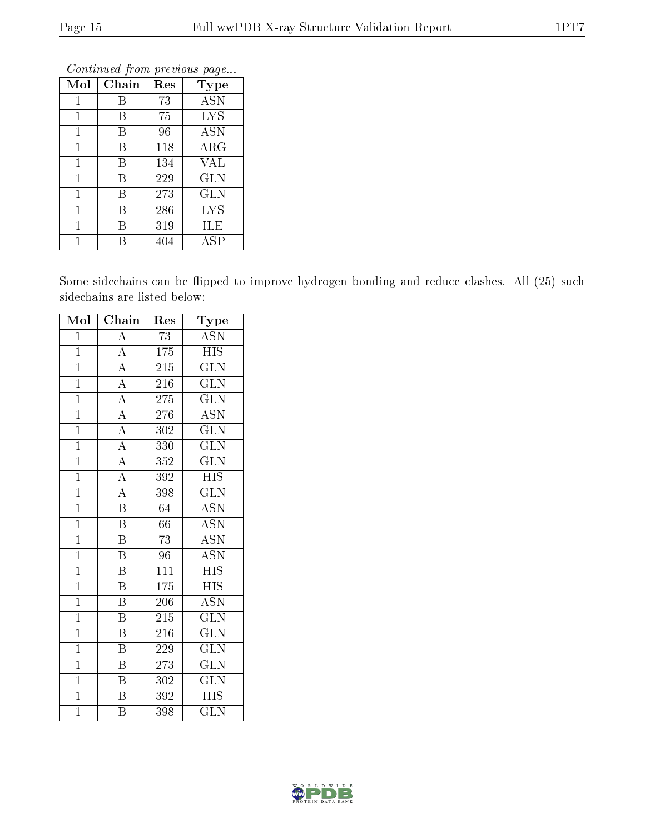| Mol          | Chain | Res | <b>Type</b>       |
|--------------|-------|-----|-------------------|
| $\mathbf{1}$ | Β     | 73  | <b>ASN</b>        |
| 1            | В     | 75  | <b>LYS</b>        |
| $\mathbf 1$  | B     | 96  | $\overline{A}$ SN |
| $\mathbf{1}$ | В     | 118 | $\rm{ARG}$        |
| 1            | В     | 134 | VAL               |
| $\mathbf 1$  | В     | 229 | <b>GLN</b>        |
| $\mathbf{1}$ | В     | 273 | <b>GLN</b>        |
| $\mathbf 1$  | В     | 286 | <b>LYS</b>        |
| 1            | В     | 319 | ILE               |
| 1            |       | 404 | ASP               |

Some sidechains can be flipped to improve hydrogen bonding and reduce clashes. All (25) such sidechains are listed below:

| Mol            | Chain                   | Res              | Type                      |
|----------------|-------------------------|------------------|---------------------------|
| $\mathbf{1}$   | $\boldsymbol{A}$        | 73               | <b>ASN</b>                |
| $\overline{1}$ | $\overline{A}$          | $\overline{175}$ | $\overline{HIS}$          |
| $\overline{1}$ | $\overline{A}$          | 215              | $\rm G\overline{LN}$      |
| $\overline{1}$ | $\overline{A}$          | 216              | $\widehat{{\rm GLN}}$     |
| $\overline{1}$ | $\overline{A}$          | 275              | $\overline{\text{GLN}}$   |
| $\mathbf{1}$   | $\overline{A}$          | 276              | <b>ASN</b>                |
| $\mathbf{1}$   | $\overline{A}$          | 302              | $\overline{\text{GLN}}$   |
| $\overline{1}$ | $\overline{A}$          | 330              | <b>GLN</b>                |
| $\overline{1}$ | $\overline{A}$          | 352              | $\overline{\text{GLN}}$   |
| $\overline{1}$ | $\overline{A}$          | 392              | <b>HIS</b>                |
| $\overline{1}$ | $\overline{A}$          | 398              | $\overline{\text{GLN}}$   |
| $\overline{1}$ | $\overline{\mathrm{B}}$ | 64               | <b>ASN</b>                |
| $\overline{1}$ | $\overline{\mathrm{B}}$ | 66               | <b>ASN</b>                |
| $\overline{1}$ | $\overline{\mathrm{B}}$ | $\overline{73}$  | $\overline{\mathrm{ASN}}$ |
| $\overline{1}$ | $\, {\bf B}$            | 96               | <b>ASN</b>                |
| $\overline{1}$ | $\boldsymbol{B}$        | 111              | $\overline{\mathrm{HIS}}$ |
| $\overline{1}$ | $\overline{\mathrm{B}}$ | $\overline{175}$ | <b>HIS</b>                |
| $\overline{1}$ | $\overline{\mathrm{B}}$ | 206              | <b>ASN</b>                |
| $\overline{1}$ | $\overline{\mathrm{B}}$ | 215              | $\overline{\text{GLN}}$   |
| $\overline{1}$ | $\overline{\mathrm{B}}$ | 216              | $\rm G\overline{LN}$      |
| $\overline{1}$ | $\overline{\mathrm{B}}$ | 229              | $\overline{\text{GLN}}$   |
| $\mathbf{1}$   | Β                       | 273              | <b>GLN</b>                |
| $\mathbf{1}$   | Β                       | 302              | <b>GLN</b>                |
| $\overline{1}$ | $\overline{\mathrm{B}}$ | 392              | <b>HIS</b>                |
| $\overline{1}$ | $\overline{\rm B}$      | 398              | $\widetilde{{\rm GLN}}$   |

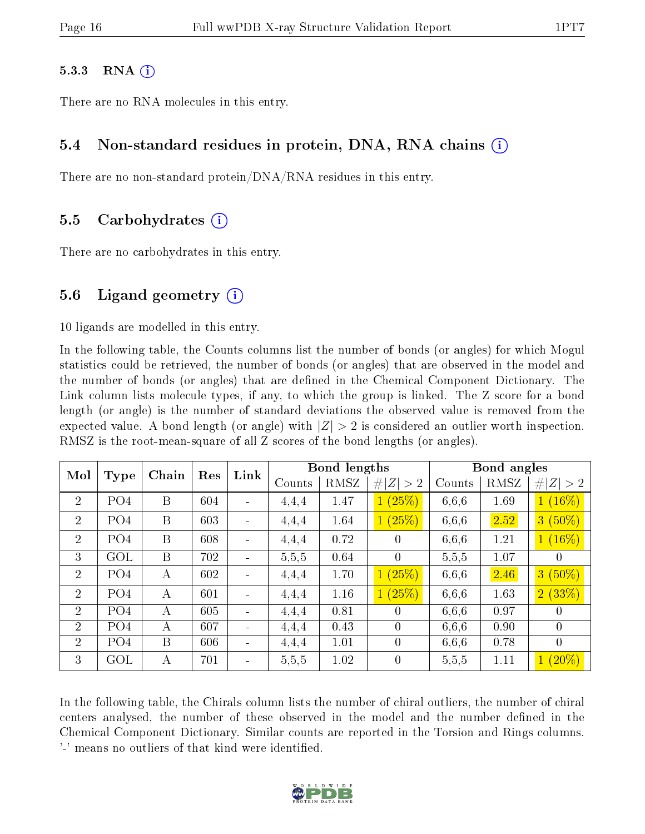#### $5.3.3$  RNA  $(i)$

There are no RNA molecules in this entry.

#### 5.4 Non-standard residues in protein, DNA, RNA chains (i)

There are no non-standard protein/DNA/RNA residues in this entry.

#### 5.5 Carbohydrates (i)

There are no carbohydrates in this entry.

#### 5.6 Ligand geometry  $(i)$

10 ligands are modelled in this entry.

In the following table, the Counts columns list the number of bonds (or angles) for which Mogul statistics could be retrieved, the number of bonds (or angles) that are observed in the model and the number of bonds (or angles) that are defined in the Chemical Component Dictionary. The Link column lists molecule types, if any, to which the group is linked. The Z score for a bond length (or angle) is the number of standard deviations the observed value is removed from the expected value. A bond length (or angle) with  $|Z| > 2$  is considered an outlier worth inspection. RMSZ is the root-mean-square of all Z scores of the bond lengths (or angles).

| Mol            | Type            | Chain        | Res | Link                         |        | <b>Bond lengths</b> |                      |        | Bond angles |                |
|----------------|-----------------|--------------|-----|------------------------------|--------|---------------------|----------------------|--------|-------------|----------------|
|                |                 |              |     |                              | Counts | RMSZ                | # $ Z  > 2$          | Counts | RMSZ        | #<br> Z >2     |
| $\overline{2}$ | PO <sub>4</sub> | B            | 604 | $\qquad \qquad \blacksquare$ | 4,4,4  | 1.47                | (25%)<br>$1^{\circ}$ | 6,6,6  | 1.69        | $1(16\%)$      |
| $\overline{2}$ | PO <sub>4</sub> | B            | 603 | ÷                            | 4,4,4  | 1.64                | 1(25%)               | 6,6,6  | 2.52        | $3(50\%)$      |
| $\overline{2}$ | PO <sub>4</sub> | B            | 608 | $\blacksquare$               | 4.4.4  | 0.72                | $\theta$             | 6,6,6  | 1.21        | $1(16\%)$      |
| 3              | GOL             | B            | 702 | $\overline{\phantom{a}}$     | 5,5,5  | 0.64                | $\overline{0}$       | 5,5,5  | 1.07        | $\overline{0}$ |
| $\overline{2}$ | PO <sub>4</sub> | А            | 602 | $\blacksquare$               | 4,4,4  | 1.70                | 1(25%)               | 6,6,6  | 2.46        | $3(50\%)$      |
| $\overline{2}$ | PO <sub>4</sub> | А            | 601 | ÷                            | 4,4,4  | 1.16                | 1(25%)               | 6,6,6  | 1.63        | 2(33%)         |
| $\overline{2}$ | PO <sub>4</sub> | A            | 605 | $\blacksquare$               | 4.4.4  | 0.81                | 0                    | 6,6,6  | 0.97        | $\theta$       |
| $\overline{2}$ | PO <sub>4</sub> | $\mathbf{A}$ | 607 | $\blacksquare$               | 4.4.4  | 0.43                | $\theta$             | 6,6,6  | 0.90        | $\overline{0}$ |
| 2              | PO <sub>4</sub> | B            | 606 | $\overline{\phantom{a}}$     | 4,4,4  | 1.01                | $\overline{0}$       | 6,6,6  | 0.78        | $\overline{0}$ |
| 3              | <b>GOL</b>      | А            | 701 | $\blacksquare$               | 5,5,5  | 1.02                | $\theta$             | 5,5,5  | 1.11        | $1(20\%)$      |

In the following table, the Chirals column lists the number of chiral outliers, the number of chiral centers analysed, the number of these observed in the model and the number defined in the Chemical Component Dictionary. Similar counts are reported in the Torsion and Rings columns. '-' means no outliers of that kind were identified.

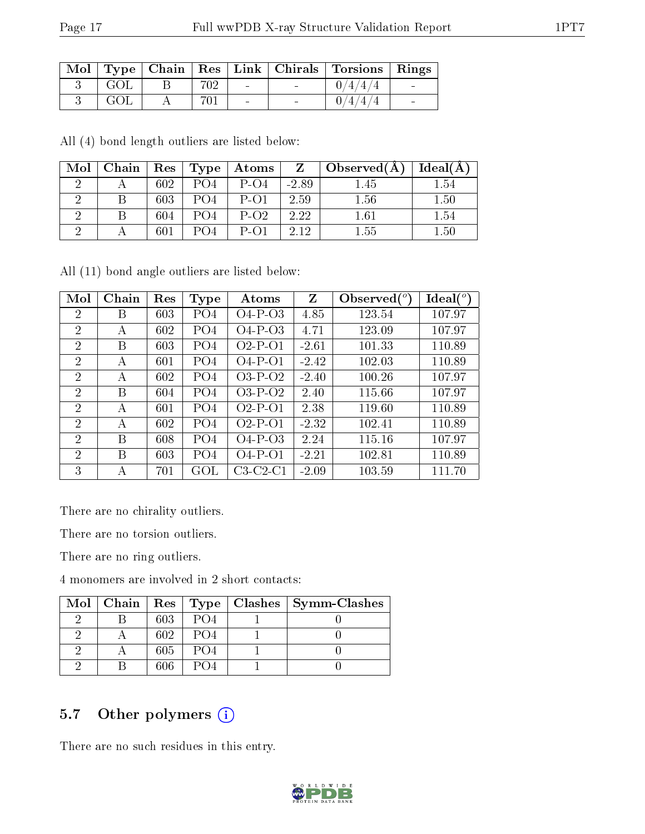|     |     |                          | Mol   Type   Chain   Res   Link   Chirals   Torsions   Rings |  |
|-----|-----|--------------------------|--------------------------------------------------------------|--|
| GOL | 702 | <b>Contract Contract</b> | 0/4/4/4                                                      |  |
| GOL | 701 | $\blacksquare$           | 0/4/4/4                                                      |  |

All (4) bond length outliers are listed below:

| Mol | Chain |     | $\mid$ $\mathrm{Res}\mid$ $\mathrm{Type}\mid$ | Atoms  | $\mathbf{Z}$ | Observed $(A)$ | Ideal(A) |
|-----|-------|-----|-----------------------------------------------|--------|--------------|----------------|----------|
|     |       | 602 | P()4                                          | $P-O4$ | $-2.89$      | 1.45           | - 54     |
|     |       | 603 |                                               | $P-O1$ | 2.59         | 1.56           | 1.50     |
|     |       | 604 |                                               | $P-O2$ | 2.22         | 1.61           | $1.54\,$ |
|     |       | 601 | PO4                                           | P-01   | 2.12         | 1.55           | $1.50\,$ |

All (11) bond angle outliers are listed below:

| Mol            | Chain | Res | <b>Type</b>     | Atoms      | Z       | Observed $(^\circ)$ | $Ideal(^o)$ |
|----------------|-------|-----|-----------------|------------|---------|---------------------|-------------|
| 2              | Β     | 603 | PO <sub>4</sub> | $O4-P-O3$  | 4.85    | 123.54              | 107.97      |
| $\overline{2}$ | А     | 602 | PO4             | $O4-P-O3$  | 4.71    | 123.09              | 107.97      |
| $\overline{2}$ | В     | 603 | PO <sub>4</sub> | $O2-P-O1$  | $-2.61$ | 101.33              | 110.89      |
| 2              | A     | 601 | PO4             | $O4-P-O1$  | $-2.42$ | 102.03              | 110.89      |
| $\overline{2}$ | A     | 602 | PO4             | $O3-P-O2$  | $-2.40$ | 100.26              | 107.97      |
| $\overline{2}$ | В     | 604 | PO4             | $O3-P-O2$  | 2.40    | 115.66              | 107.97      |
| 2              | A     | 601 | PO4             | $O2-P-O1$  | 2.38    | 119.60              | 110.89      |
| $\overline{2}$ | А     | 602 | PO <sub>4</sub> | $O2-P-O1$  | $-2.32$ | 102.41              | 110.89      |
| $\overline{2}$ | В     | 608 | PO <sub>4</sub> | $O4-P-O3$  | 2.24    | 115.16              | 107.97      |
| $\overline{2}$ | В     | 603 | PO <sub>4</sub> | $O4-P-O1$  | $-2.21$ | 102.81              | 110.89      |
| 3              | А     | 701 | GOL             | $C3-C2-C1$ | $-2.09$ | 103.59              | 111.70      |

There are no chirality outliers.

There are no torsion outliers.

There are no ring outliers.

4 monomers are involved in 2 short contacts:

|  |     |                             | Mol   Chain   Res   Type   Clashes   Symm-Clashes |
|--|-----|-----------------------------|---------------------------------------------------|
|  | 603 | P <sub>O</sub> <sub>4</sub> |                                                   |
|  | 602 | PO <sub>4</sub>             |                                                   |
|  | 605 | PO <sub>4</sub>             |                                                   |
|  | 606 | PO 4                        |                                                   |

## 5.7 [O](https://www.wwpdb.org/validation/2017/XrayValidationReportHelp#nonstandard_residues_and_ligands)ther polymers (i)

There are no such residues in this entry.

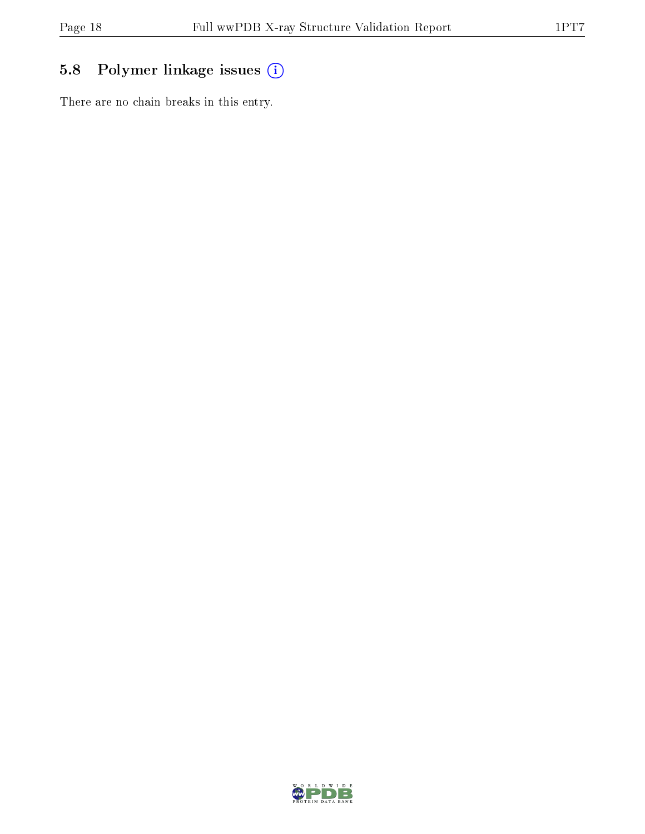# 5.8 Polymer linkage issues (i)

There are no chain breaks in this entry.

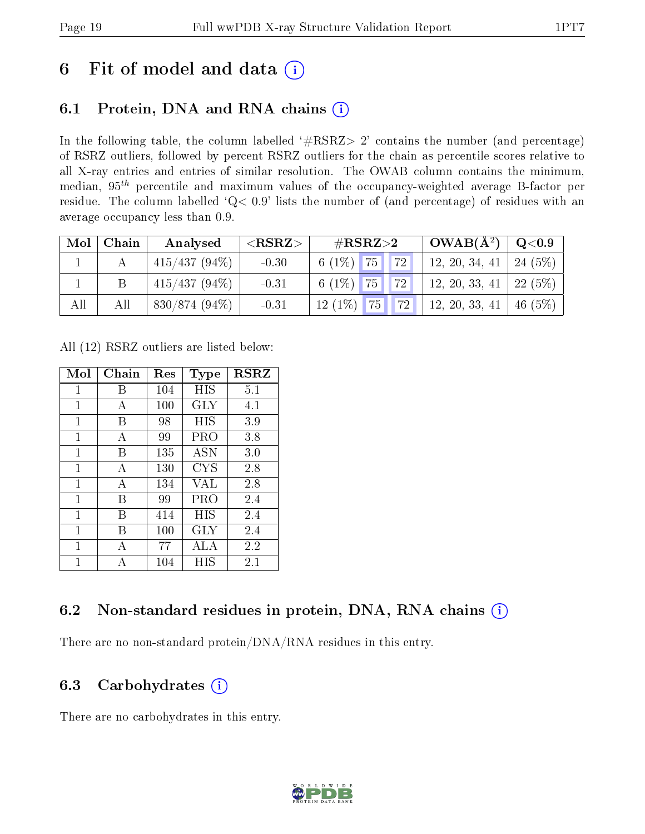# 6 Fit of model and data  $(i)$

### 6.1 Protein, DNA and RNA chains  $(i)$

In the following table, the column labelled  $#RSRZ> 2'$  contains the number (and percentage) of RSRZ outliers, followed by percent RSRZ outliers for the chain as percentile scores relative to all X-ray entries and entries of similar resolution. The OWAB column contains the minimum, median,  $95<sup>th</sup>$  percentile and maximum values of the occupancy-weighted average B-factor per residue. The column labelled ' $Q< 0.9$ ' lists the number of (and percentage) of residues with an average occupancy less than 0.9.

|     | Mol   Chain | Analysed         | ${ <\bf RSRZ> }$ | $\rm \#RSRZ{>}2$                                                                                                   | $\sqrt{\rm OWAB}(\rm \AA^2) \ \ \vert \ \ {\rm Q}\hspace{-0.05cm}<\hspace{-0.05cm}0.9$ |  |
|-----|-------------|------------------|------------------|--------------------------------------------------------------------------------------------------------------------|----------------------------------------------------------------------------------------|--|
|     |             | $ 415/437(94\%)$ | $-0.30$          | 6 (1%) $\boxed{75}$ $\boxed{72}$                                                                                   | 12, 20, 34, 41   24 (5%)                                                               |  |
|     |             | $415/437(94\%)$  | $-0.31$          | 6 (1\%) $\begin{array}{ c c c c c c c c } \hline 6 & 1\% & 75 & 72 & 12, 20, 33, 41 & 22 & 5\% \hline \end{array}$ |                                                                                        |  |
| All | All         | $830/874(94\%)$  | $-0.31$          | $12(1\%)$ 75 72 12, 20, 33, 41 46 (5%)                                                                             |                                                                                        |  |

All (12) RSRZ outliers are listed below:

| Mol          | Chain | $\operatorname{Res}% \left( \mathcal{N}\right) \equiv\operatorname{Res}(\mathcal{N}_{0},\mathcal{N}_{0})$ | Type       | <b>RSRZ</b> |
|--------------|-------|-----------------------------------------------------------------------------------------------------------|------------|-------------|
| 1            | В     | 104                                                                                                       | HIS        | 5.1         |
| 1            | A     | 100                                                                                                       | GLY        | 4.1         |
| 1            | В     | 98                                                                                                        | HIS        | 3.9         |
| 1            | A     | 99                                                                                                        | PRO        | 3.8         |
| $\mathbf{1}$ | В     | 135                                                                                                       | <b>ASN</b> | 3.0         |
| 1            | A     | 130                                                                                                       | <b>CYS</b> | 2.8         |
| 1            | А     | 134                                                                                                       | VAL        | 2.8         |
| 1            | В     | 99                                                                                                        | PRO        | 2.4         |
| 1            | В     | 414                                                                                                       | HIS        | 2.4         |
| 1            | R     | 100                                                                                                       | <b>GLY</b> | 2.4         |
| 1            | А     | 77                                                                                                        | ALA        | 2.2         |
| 1            |       | 104                                                                                                       | НIS        | 2.1         |

### 6.2 Non-standard residues in protein, DNA, RNA chains  $(i)$

There are no non-standard protein/DNA/RNA residues in this entry.

### 6.3 Carbohydrates  $(i)$

There are no carbohydrates in this entry.